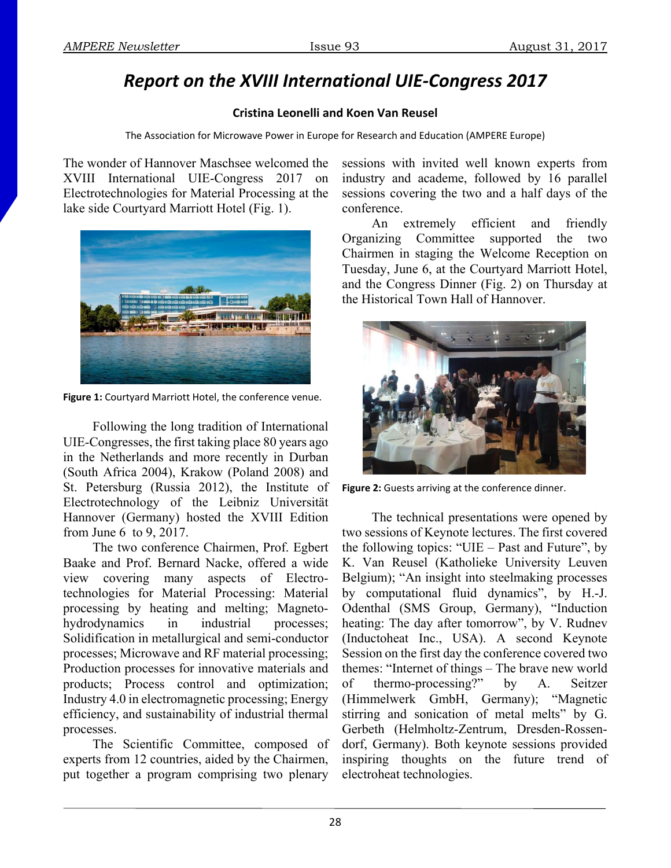## *Report on the XVIII International UIE‐Congress 2017*

## **Cristina Leonelli and Koen Van Reusel**

The Association for Microwave Power in Europe for Research and Education (AMPERE Europe)

The wonder of Hannover Maschsee welcomed the XVIII International UIE-Congress 2017 on Electrotechnologies for Material Processing at the lake side Courtyard Marriott Hotel (Fig. 1).



**Figure 1:** Courtyard Marriott Hotel, the conference venue.

Following the long tradition of International UIE-Congresses, the first taking place 80 years ago in the Netherlands and more recently in Durban (South Africa 2004), Krakow (Poland 2008) and St. Petersburg (Russia 2012), the Institute of Electrotechnology of the Leibniz Universität Hannover (Germany) hosted the XVIII Edition from June 6 to 9, 2017.

The two conference Chairmen, Prof. Egbert Baake and Prof. Bernard Nacke, offered a wide view covering many aspects of Electrotechnologies for Material Processing: Material processing by heating and melting; Magnetohydrodynamics in industrial processes; Solidification in metallurgical and semi-conductor processes; Microwave and RF material processing; Production processes for innovative materials and products; Process control and optimization; Industry 4.0 in electromagnetic processing; Energy efficiency, and sustainability of industrial thermal processes.

The Scientific Committee, composed of experts from 12 countries, aided by the Chairmen, put together a program comprising two plenary

sessions with invited well known experts from industry and academe, followed by 16 parallel sessions covering the two and a half days of the conference.

An extremely efficient and friendly Organizing Committee supported the two Chairmen in staging the Welcome Reception on Tuesday, June 6, at the Courtyard Marriott Hotel, and the Congress Dinner (Fig. 2) on Thursday at the Historical Town Hall of Hannover.



**Figure 2:** Guests arriving at the conference dinner.

The technical presentations were opened by two sessions of Keynote lectures. The first covered the following topics: "UIE – Past and Future", by K. Van Reusel (Katholieke University Leuven Belgium); "An insight into steelmaking processes by computational fluid dynamics", by H.-J. Odenthal (SMS Group, Germany), "Induction heating: The day after tomorrow", by V. Rudnev (Inductoheat Inc., USA). A second Keynote Session on the first day the conference covered two themes: "Internet of things – The brave new world of thermo-processing?" by A. Seitzer (Himmelwerk GmbH, Germany); "Magnetic stirring and sonication of metal melts" by G. Gerbeth (Helmholtz-Zentrum, Dresden-Rossendorf, Germany). Both keynote sessions provided inspiring thoughts on the future trend of electroheat technologies.